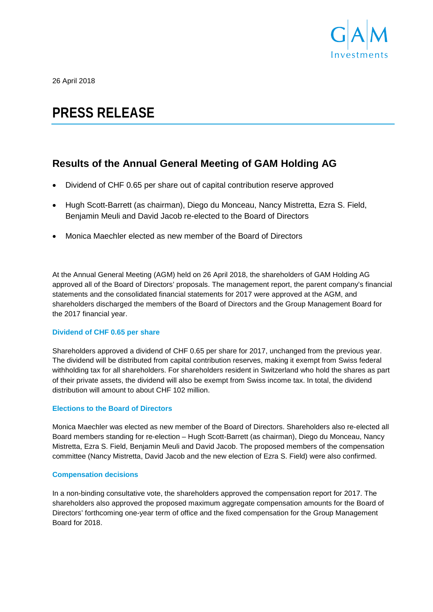

26 April 2018

# **PRESS RELEASE**

# **Results of the Annual General Meeting of GAM Holding AG**

- Dividend of CHF 0.65 per share out of capital contribution reserve approved
- Hugh Scott-Barrett (as chairman), Diego du Monceau, Nancy Mistretta, Ezra S. Field, Benjamin Meuli and David Jacob re-elected to the Board of Directors
- Monica Maechler elected as new member of the Board of Directors

At the Annual General Meeting (AGM) held on 26 April 2018, the shareholders of GAM Holding AG approved all of the Board of Directors' proposals. The management report, the parent company's financial statements and the consolidated financial statements for 2017 were approved at the AGM, and shareholders discharged the members of the Board of Directors and the Group Management Board for the 2017 financial year.

## **Dividend of CHF 0.65 per share**

Shareholders approved a dividend of CHF 0.65 per share for 2017, unchanged from the previous year. The dividend will be distributed from capital contribution reserves, making it exempt from Swiss federal withholding tax for all shareholders. For shareholders resident in Switzerland who hold the shares as part of their private assets, the dividend will also be exempt from Swiss income tax. In total, the dividend distribution will amount to about CHF 102 million.

## **Elections to the Board of Directors**

Monica Maechler was elected as new member of the Board of Directors. Shareholders also re-elected all Board members standing for re-election – Hugh Scott-Barrett (as chairman), Diego du Monceau, Nancy Mistretta, Ezra S. Field, Benjamin Meuli and David Jacob. The proposed members of the compensation committee (Nancy Mistretta, David Jacob and the new election of Ezra S. Field) were also confirmed.

#### **Compensation decisions**

In a non-binding consultative vote, the shareholders approved the compensation report for 2017. The shareholders also approved the proposed maximum aggregate compensation amounts for the Board of Directors' forthcoming one-year term of office and the fixed compensation for the Group Management Board for 2018.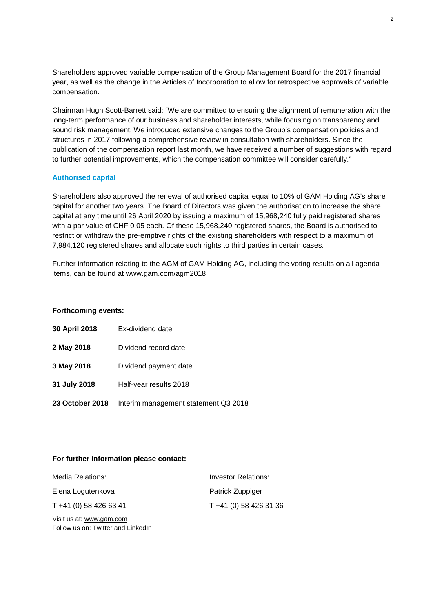Shareholders approved variable compensation of the Group Management Board for the 2017 financial year, as well as the change in the Articles of Incorporation to allow for retrospective approvals of variable compensation.

Chairman Hugh Scott-Barrett said: "We are committed to ensuring the alignment of remuneration with the long-term performance of our business and shareholder interests, while focusing on transparency and sound risk management. We introduced extensive changes to the Group's compensation policies and structures in 2017 following a comprehensive review in consultation with shareholders. Since the publication of the compensation report last month, we have received a number of suggestions with regard to further potential improvements, which the compensation committee will consider carefully."

## **Authorised capital**

Shareholders also approved the renewal of authorised capital equal to 10% of GAM Holding AG's share capital for another two years. The Board of Directors was given the authorisation to increase the share capital at any time until 26 April 2020 by issuing a maximum of 15,968,240 fully paid registered shares with a par value of CHF 0.05 each. Of these 15,968,240 registered shares, the Board is authorised to restrict or withdraw the pre-emptive rights of the existing shareholders with respect to a maximum of 7,984,120 registered shares and allocate such rights to third parties in certain cases.

Further information relating to the AGM of GAM Holding AG, including the voting results on all agenda items, can be found at [www.gam.com/agm2018.](http://www.gam.com/agm2018)

#### **Forthcoming events:**

| 30 April 2018          | Ex-dividend date                     |
|------------------------|--------------------------------------|
| 2 May 2018             | Dividend record date                 |
| 3 May 2018             | Dividend payment date                |
| 31 July 2018           | Half-year results 2018               |
| <b>23 October 2018</b> | Interim management statement Q3 2018 |

#### **For further information please contact:**

| Media Relations:       | Investor Relations:    |
|------------------------|------------------------|
| Elena Logutenkova      | Patrick Zuppiger       |
| T +41 (0) 58 426 63 41 | T +41 (0) 58 426 31 36 |

Visit us at: [www.gam.com](http://www.gam.com/) Follow us on[: Twitter](https://twitter.com/gaminsights) and [LinkedIn](https://www.linkedin.com/company/gam?trk=company_logo)